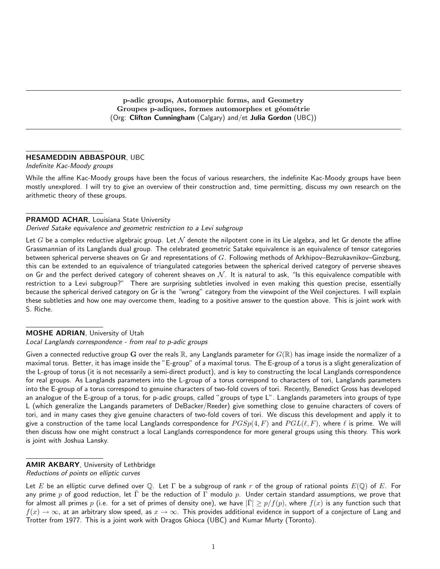p-adic groups, Automorphic forms, and Geometry Groupes p-adiques, formes automorphes et géométrie (Org: Clifton Cunningham (Calgary) and/et Julia Gordon (UBC))

#### HESAMEDDIN ABBASPOUR, UBC

#### Indefinite Kac-Moody groups

While the affine Kac-Moody groups have been the focus of various researchers, the indefinite Kac-Moody groups have been mostly unexplored. I will try to give an overview of their construction and, time permitting, discuss my own research on the arithmetic theory of these groups.

#### PRAMOD ACHAR, Louisiana State University

#### Derived Satake equivalence and geometric restriction to a Levi subgroup

Let G be a complex reductive algebraic group. Let  $\mathcal N$  denote the nilpotent cone in its Lie algebra, and let Gr denote the affine Grassmannian of its Langlands dual group. The celebrated geometric Satake equivalence is an equivalence of tensor categories between spherical perverse sheaves on Gr and representations of G. Following methods of Arkhipov–Bezrukavnikov–Ginzburg, this can be extended to an equivalence of triangulated categories between the spherical derived category of perverse sheaves on Gr and the perfect derived category of coherent sheaves on  $\mathcal{N}$ . It is natural to ask, "Is this equivalence compatible with restriction to a Levi subgroup?" There are surprising subtleties involved in even making this question precise, essentially because the spherical derived category on Gr is the "wrong" category from the viewpoint of the Weil conjectures. I will explain these subtleties and how one may overcome them, leading to a positive answer to the question above. This is joint work with S. Riche.

#### MOSHE ADRIAN, University of Utah

#### Local Langlands correspondence - from real to p-adic groups

Given a connected reductive group G over the reals  $\mathbb R$ , any Langlands parameter for  $G(\mathbb R)$  has image inside the normalizer of a maximal torus. Better, it has image inside the "E-group" of a maximal torus. The E-group of a torus is a slight generalization of the L-group of torus (it is not necessarily a semi-direct product), and is key to constructing the local Langlands correspondence for real groups. As Langlands parameters into the L-group of a torus correspond to characters of tori, Langlands parameters into the E-group of a torus correspond to genuine characters of two-fold covers of tori. Recently, Benedict Gross has developed an analogue of the E-group of a torus, for p-adic groups, called "groups of type L". Langlands parameters into groups of type L (which generalize the Langands parameters of DeBacker/Reeder) give something close to genuine characters of covers of tori, and in many cases they give genuine characters of two-fold covers of tori. We discuss this development and apply it to give a construction of the tame local Langlands correspondence for  $PGSp(4, F)$  and  $PGL(\ell, F)$ , where  $\ell$  is prime. We will then discuss how one might construct a local Langlands correspondence for more general groups using this theory. This work is joint with Joshua Lansky.

### AMIR AKBARY, University of Lethbridge

Reductions of points on elliptic curves

Let E be an elliptic curve defined over Q. Let  $\Gamma$  be a subgroup of rank r of the group of rational points  $E(\mathbb{Q})$  of E. For any prime p of good reduction, let  $\bar{\Gamma}$  be the reduction of  $\Gamma$  modulo p. Under certain standard assumptions, we prove that for almost all primes p (i.e. for a set of primes of density one), we have  $|\bar{\Gamma}| \ge p/f(p)$ , where  $f(x)$  is any function such that  $f(x) \to \infty$ , at an arbitrary slow speed, as  $x \to \infty$ . This provides additional evidence in support of a conjecture of Lang and Trotter from 1977. This is a joint work with Dragos Ghioca (UBC) and Kumar Murty (Toronto).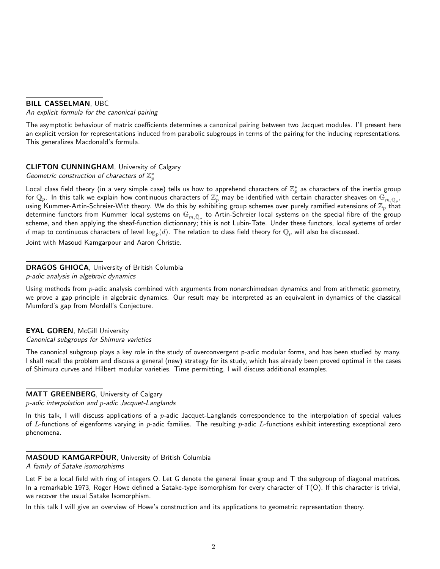## BILL CASSELMAN, UBC

An explicit formula for the canonical pairing

The asymptotic behaviour of matrix coefficients determines a canonical pairing between two Jacquet modules. I'll present here an explicit version for representations induced from parabolic subgroups in terms of the pairing for the inducing representations. This generalizes Macdonald's formula.

# CLIFTON CUNNINGHAM, University of Calgary Geometric construction of characters of  $\mathbb{Z}_p^*$

Local class field theory (in a very simple case) tells us how to apprehend characters of  $\mathbb{Z}_p^*$  as characters of the inertia group for  $\mathbb Q_p.$  In this talk we explain how continuous characters of  $\Z_p^*$  may be identified with certain character sheaves on  $\mathbb G_{m,\bar{\mathbb Q}_p}.$ using Kummer-Artin-Schreier-Witt theory. We do this by exhibiting group schemes over purely ramified extensions of  $\mathbb{Z}_p$  that determine functors from Kummer local systems on  $\mathbb{G}_{m,\bar{\mathbb{Q}}_p}$  to Artin-Schreier local systems on the special fibre of the group scheme, and then applying the sheaf-function dictionnary; this is not Lubin-Tate. Under these functors, local systems of order  $d$  map to continuous characters of level  $\log_p(d)$ . The relation to class field theory for  $\mathbb{Q}_p$  will also be discussed. Joint with Masoud Kamgarpour and Aaron Christie.

# DRAGOS GHIOCA, University of British Columbia

p-adic analysis in algebraic dynamics

Using methods from  $p$ -adic analysis combined with arguments from nonarchimedean dynamics and from arithmetic geometry, we prove a gap principle in algebraic dynamics. Our result may be interpreted as an equivalent in dynamics of the classical Mumford's gap from Mordell's Conjecture.

**EYAL GOREN, McGill University** Canonical subgroups for Shimura varieties

The canonical subgroup plays a key role in the study of overconvergent p-adic modular forms, and has been studied by many. I shall recall the problem and discuss a general (new) strategy for its study, which has already been proved optimal in the cases of Shimura curves and Hilbert modular varieties. Time permitting, I will discuss additional examples.

# MATT GREENBERG, University of Calgary

p-adic interpolation and p-adic Jacquet-Langlands

In this talk, I will discuss applications of a  $p$ -adic Jacquet-Langlands correspondence to the interpolation of special values of L-functions of eigenforms varying in  $p$ -adic families. The resulting  $p$ -adic L-functions exhibit interesting exceptional zero phenomena.

# MASOUD KAMGARPOUR, University of British Columbia

A family of Satake isomorphisms

Let F be a local field with ring of integers O. Let G denote the general linear group and T the subgroup of diagonal matrices. In a remarkable 1973, Roger Howe defined a Satake-type isomorphism for every character of T(O). If this character is trivial, we recover the usual Satake Isomorphism.

In this talk I will give an overview of Howe's construction and its applications to geometric representation theory.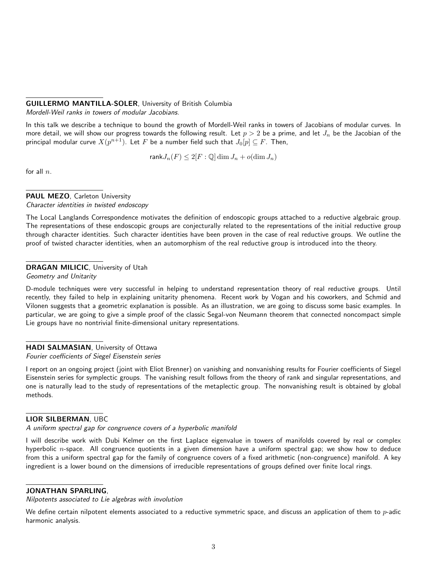## GUILLERMO MANTILLA-SOLER, University of British Columbia

Mordell-Weil ranks in towers of modular Jacobians.

In this talk we describe a technique to bound the growth of Mordell-Weil ranks in towers of Jacobians of modular curves. In more detail, we will show our progress towards the following result. Let  $p > 2$  be a prime, and let  $J_n$  be the Jacobian of the principal modular curve  $X(p^{n+1})$ . Let  $F$  be a number field such that  $J_0[p]\subseteq F.$  Then,

$$
\text{rank} J_n(F) \le 2[F: \mathbb{Q}] \dim J_n + o(\dim J_n)
$$

for all  $n$ .

#### PAUL MEZO, Carleton University Character identities in twisted endoscopy

The Local Langlands Correspondence motivates the definition of endoscopic groups attached to a reductive algebraic group. The representations of these endoscopic groups are conjecturally related to the representations of the initial reductive group through character identities. Such character identities have been proven in the case of real reductive groups. We outline the proof of twisted character identities, when an automorphism of the real reductive group is introduced into the theory.

### DRAGAN MILICIC, University of Utah

Geometry and Unitarity

D-module techniques were very successful in helping to understand representation theory of real reductive groups. Until recently, they failed to help in explaining unitarity phenomena. Recent work by Vogan and his coworkers, and Schmid and Vilonen suggests that a geometric explanation is possible. As an illustration, we are going to discuss some basic examples. In particular, we are going to give a simple proof of the classic Segal-von Neumann theorem that connected noncompact simple Lie groups have no nontrivial finite-dimensional unitary representations.

## HADI SALMASIAN, University of Ottawa

Fourier coefficients of Siegel Eisenstein series

I report on an ongoing project (joint with Eliot Brenner) on vanishing and nonvanishing results for Fourier coefficients of Siegel Eisenstein series for symplectic groups. The vanishing result follows from the theory of rank and singular representations, and one is naturally lead to the study of representations of the metaplectic group. The nonvanishing result is obtained by global methods.

### LIOR SILBERMAN, UBC

A uniform spectral gap for congruence covers of a hyperbolic manifold

I will describe work with Dubi Kelmer on the first Laplace eigenvalue in towers of manifolds covered by real or complex hyperbolic  $n$ -space. All congruence quotients in a given dimension have a uniform spectral gap; we show how to deduce from this a uniform spectral gap for the family of congruence covers of a fixed arithmetic (non-congruence) manifold. A key ingredient is a lower bound on the dimensions of irreducible representations of groups defined over finite local rings.

## JONATHAN SPARLING,

Nilpotents associated to Lie algebras with involution

We define certain nilpotent elements associated to a reductive symmetric space, and discuss an application of them to  $p$ -adic harmonic analysis.